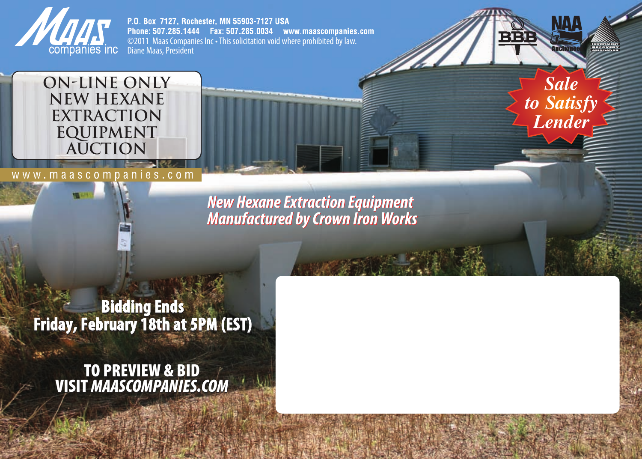

3800000

P.O. Box 7127, Rochester, MN 55903-7127 USA Phone: 507,285,1444 Fax: 507,285,0034 www.maascompanies.com ©2011 Maas Companies Inc • This solicitation void where prohibited by law.<br>Diane Maas, President



www.maascompanies.com

*New HexaneExtraction Equipment New HexaneExtraction Equipment Manufactured byCrown IronWorks Manufactured byCrown IronWorks*

*Sale to Satisfy Lender*

**Bidding Ends Bidding Ends Friday, February 18th at 5PM (EST) Friday, February 18th at 5PM (EST)**

**TO PREVIEW & BID VISIT** *MAASCOMPANIES.COM* **PREVIEW &** *MAASCOMPANIES.COM*